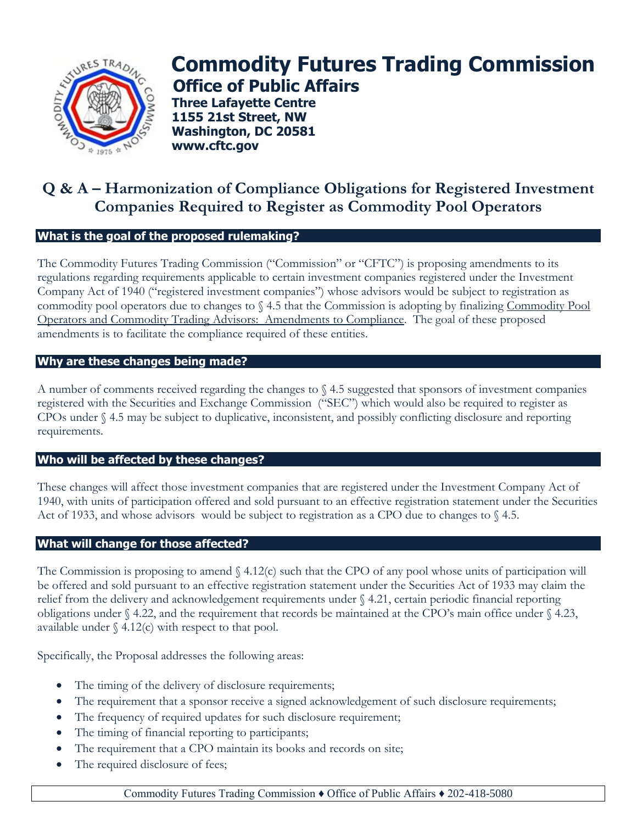

# **Commodity Futures Trading Commission Office of Public Affairs**

**Three Lafayette Centre 1155 21st Street, NW Washington, DC 20581 www.cftc.gov**

## **Q & A – Harmonization of Compliance Obligations for Registered Investment Companies Required to Register as Commodity Pool Operators**

### **What is the goal of the proposed rulemaking?**

The Commodity Futures Trading Commission ("Commission" or "CFTC") is proposing amendments to its regulations regarding requirements applicable to certain investment companies registered under the Investment Company Act of 1940 ("registered investment companies") whose advisors would be subject to registration as commodity pool operators due to changes to § 4.5 that the Commission is adopting by finalizing Commodity Pool Operators and Commodity Trading Advisors: Amendments to Compliance. The goal of these proposed amendments is to facilitate the compliance required of these entities.

#### **Why are these changes being made?**

A number of comments received regarding the changes to § 4.5 suggested that sponsors of investment companies registered with the Securities and Exchange Commission ("SEC") which would also be required to register as CPOs under § 4.5 may be subject to duplicative, inconsistent, and possibly conflicting disclosure and reporting requirements.

#### **Who will be affected by these changes?**

These changes will affect those investment companies that are registered under the Investment Company Act of 1940, with units of participation offered and sold pursuant to an effective registration statement under the Securities Act of 1933, and whose advisors would be subject to registration as a CPO due to changes to  $\S$  4.5.

#### **What will change for those affected?**

The Commission is proposing to amend § 4.12(c) such that the CPO of any pool whose units of participation will be offered and sold pursuant to an effective registration statement under the Securities Act of 1933 may claim the relief from the delivery and acknowledgement requirements under § 4.21, certain periodic financial reporting obligations under § 4.22, and the requirement that records be maintained at the CPO's main office under § 4.23, available under  $\S$  4.12(c) with respect to that pool.

Specifically, the Proposal addresses the following areas:

- The timing of the delivery of disclosure requirements;
- The requirement that a sponsor receive a signed acknowledgement of such disclosure requirements;
- The frequency of required updates for such disclosure requirement;
- The timing of financial reporting to participants;
- The requirement that a CPO maintain its books and records on site;
- The required disclosure of fees;